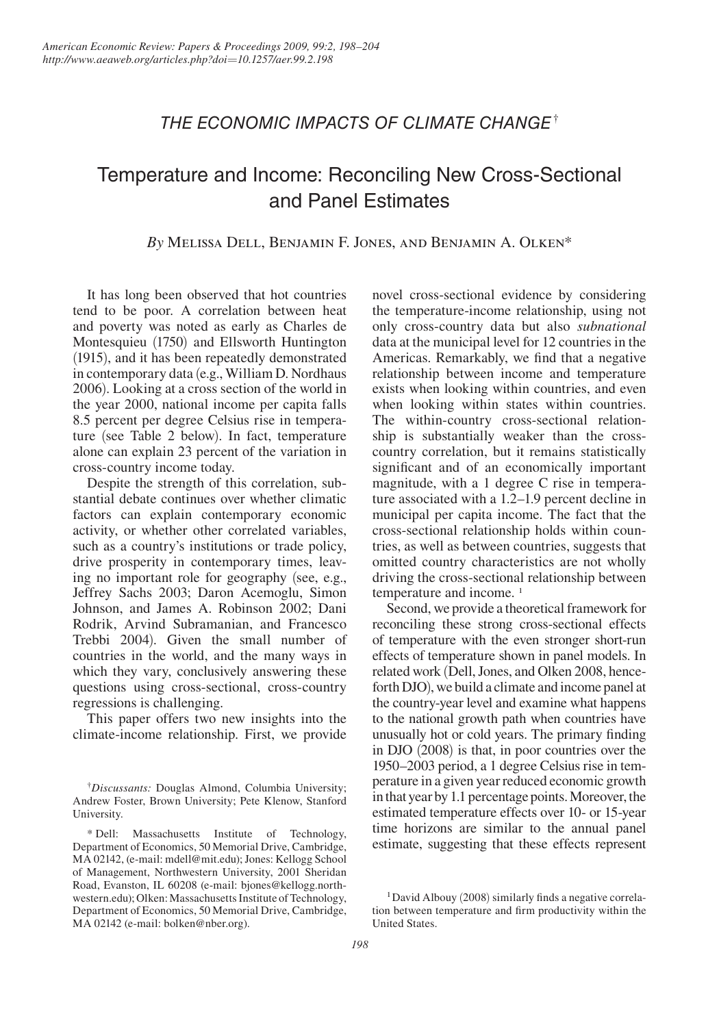## *The Economic Impacts of Climate Change*†

# Temperature and Income: Reconciling New Cross-Sectional and Panel Estimates

## *By* Melissa Dell, Benjamin F. Jones, and Benjamin A. Olken\*

It has long been observed that hot countries tend to be poor. A correlation between heat and poverty was noted as early as Charles de Montesquieu (1750) and Ellsworth Huntington (1915), and it has been repeatedly demonstrated in contemporary data (e.g., William D. Nordhaus 2006). Looking at a cross section of the world in the year 2000, national income per capita falls 8.5 percent per degree Celsius rise in temperature (see Table 2 below). In fact, temperature alone can explain 23 percent of the variation in cross-country income today.

Despite the strength of this correlation, substantial debate continues over whether climatic factors can explain contemporary economic activity, or whether other correlated variables, such as a country's institutions or trade policy, drive prosperity in contemporary times, leaving no important role for geography (see, e.g., Jeffrey Sachs 2003; Daron Acemoglu, Simon Johnson, and James A. Robinson 2002; Dani Rodrik, Arvind Subramanian, and Francesco Trebbi 2004). Given the small number of countries in the world, and the many ways in which they vary, conclusively answering these questions using cross-sectional, cross-country regressions is challenging.

This paper offers two new insights into the climate-income relationship. First, we provide novel cross-sectional evidence by considering the temperature-income relationship, using not only cross-country data but also *subnational* data at the municipal level for 12 countries in the Americas. Remarkably, we find that a negative relationship between income and temperature exists when looking within countries, and even when looking within states within countries. The within-country cross-sectional relationship is substantially weaker than the crosscountry correlation, but it remains statistically significant and of an economically important magnitude, with a 1 degree C rise in temperature associated with a 1.2–1.9 percent decline in municipal per capita income. The fact that the cross-sectional relationship holds within countries, as well as between countries, suggests that omitted country characteristics are not wholly driving the cross-sectional relationship between temperature and income.<sup>1</sup>

Second, we provide a theoretical framework for reconciling these strong cross-sectional effects of temperature with the even stronger short-run effects of temperature shown in panel models. In related work (Dell, Jones, and Olken 2008, henceforth DJO), we build a climate and income panel at the country-year level and examine what happens to the national growth path when countries have unusually hot or cold years. The primary finding in DJO (2008) is that, in poor countries over the 1950–2003 period, a 1 degree Celsius rise in temperature in a given year reduced economic growth in that year by 1.1 percentage points. Moreover, the estimated temperature effects over 10- or 15-year time horizons are similar to the annual panel estimate, suggesting that these effects represent

<sup>†</sup> *Discussants:* Douglas Almond, Columbia University; Andrew Foster, Brown University; Pete Klenow, Stanford University.

<sup>\*</sup> Dell: Massachusetts Institute of Technology, Department of Economics, 50 Memorial Drive, Cambridge, MA 02142, (e-mail: mdell@mit.edu); Jones: Kellogg School of Management, Northwestern University, 2001 Sheridan Road, Evanston, IL 60208 (e-mail: bjones@kellogg.northwestern.edu); Olken: Massachusetts Institute of Technology, Department of Economics, 50 Memorial Drive, Cambridge, MA 02142 (e-mail: bolken@nber.org).

<sup>&</sup>lt;sup>1</sup>David Albouy (2008) similarly finds a negative correlation between temperature and firm productivity within the United States.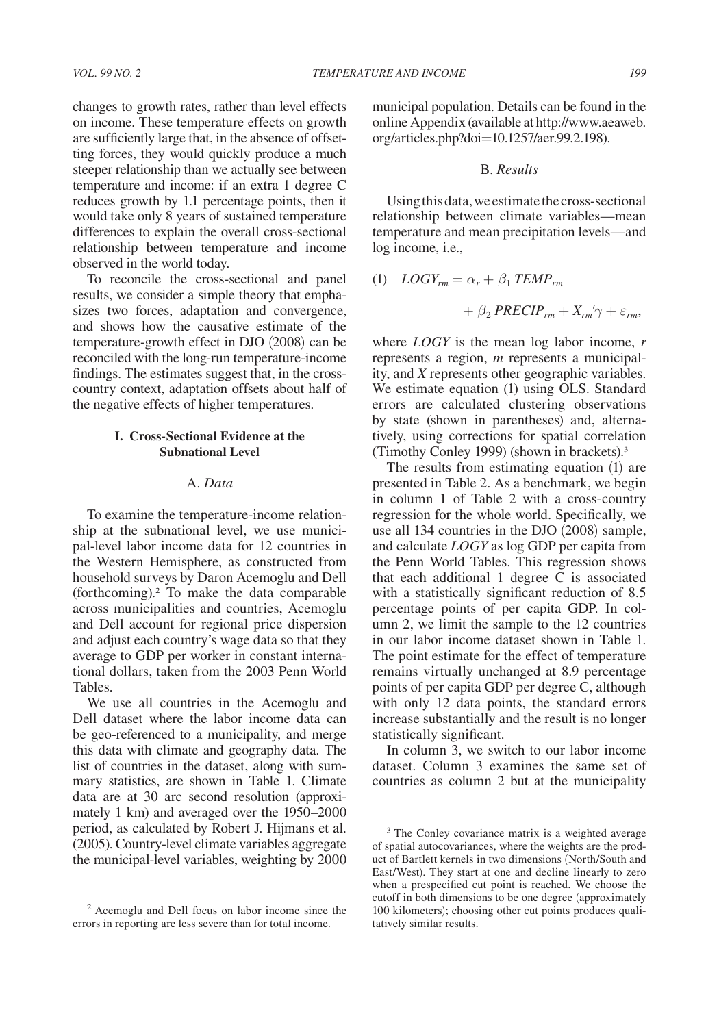changes to growth rates, rather than level effects on income. These temperature effects on growth are sufficiently large that, in the absence of offsetting forces, they would quickly produce a much steeper relationship than we actually see between temperature and income: if an extra 1 degree C reduces growth by 1.1 percentage points, then it would take only 8 years of sustained temperature differences to explain the overall cross-sectional relationship between temperature and income observed in the world today.

To reconcile the cross-sectional and panel results, we consider a simple theory that emphasizes two forces, adaptation and convergence, and shows how the causative estimate of the temperature-growth effect in DJO (2008) can be reconciled with the long-run temperature-income findings. The estimates suggest that, in the crosscountry context, adaptation offsets about half of the negative effects of higher temperatures.

## **I. Cross-Sectional Evidence at the Subnational Level**

## A. *Data*

To examine the temperature-income relationship at the subnational level, we use municipal-level labor income data for 12 countries in the Western Hemisphere, as constructed from household surveys by Daron Acemoglu and Dell (forthcoming).2 To make the data comparable across municipalities and countries, Acemoglu and Dell account for regional price dispersion and adjust each country's wage data so that they average to GDP per worker in constant international dollars, taken from the 2003 Penn World Tables.

We use all countries in the Acemoglu and Dell dataset where the labor income data can be geo-referenced to a municipality, and merge this data with climate and geography data. The list of countries in the dataset, along with summary statistics, are shown in Table 1. Climate data are at 30 arc second resolution (approximately 1 km) and averaged over the 1950–2000 period, as calculated by Robert J. Hijmans et al. (2005). Country-level climate variables aggregate the municipal-level variables, weighting by 2000 municipal population. Details can be found in the online Appendix (available at http://www.aeaweb. org/articles.php?doi=10.1257/aer.99.2.198).

### B. *Results*

Using this data, we estimate the cross-sectional relationship between climate variables—mean temperature and mean precipitation levels—and log income, i.e.,

(1) 
$$
LOGY_{rm} = \alpha_r + \beta_1 \text{TEMP}_{rm}
$$
  
+  $\beta_2 \text{ PRECIP}_{rm} + X_{rm}' \gamma + \varepsilon_{rm}$ 

where *LOGY* is the mean log labor income, *r* represents a region, *m* represents a municipality, and *X* represents other geographic variables. We estimate equation (1) using OLS. Standard errors are calculated clustering observations by state (shown in parentheses) and, alternatively, using corrections for spatial correlation (Timothy Conley 1999) (shown in brackets).3

The results from estimating equation (1) are presented in Table 2. As a benchmark, we begin in column 1 of Table 2 with a cross-country regression for the whole world. Specifically, we use all 134 countries in the DJO (2008) sample, and calculate *LOGY* as log GDP per capita from the Penn World Tables. This regression shows that each additional 1 degree C is associated with a statistically significant reduction of 8.5 percentage points of per capita GDP. In column 2, we limit the sample to the 12 countries in our labor income dataset shown in Table 1. The point estimate for the effect of temperature remains virtually unchanged at 8.9 percentage points of per capita GDP per degree C, although with only 12 data points, the standard errors increase substantially and the result is no longer statistically significant.

In column 3, we switch to our labor income dataset. Column 3 examines the same set of countries as column 2 but at the municipality

<sup>2</sup> Acemoglu and Dell focus on labor income since the errors in reporting are less severe than for total income.

<sup>&</sup>lt;sup>3</sup> The Conley covariance matrix is a weighted average of spatial autocovariances, where the weights are the product of Bartlett kernels in two dimensions (North/South and East/West). They start at one and decline linearly to zero when a prespecified cut point is reached. We choose the cutoff in both dimensions to be one degree (approximately 100 kilometers); choosing other cut points produces qualitatively similar results.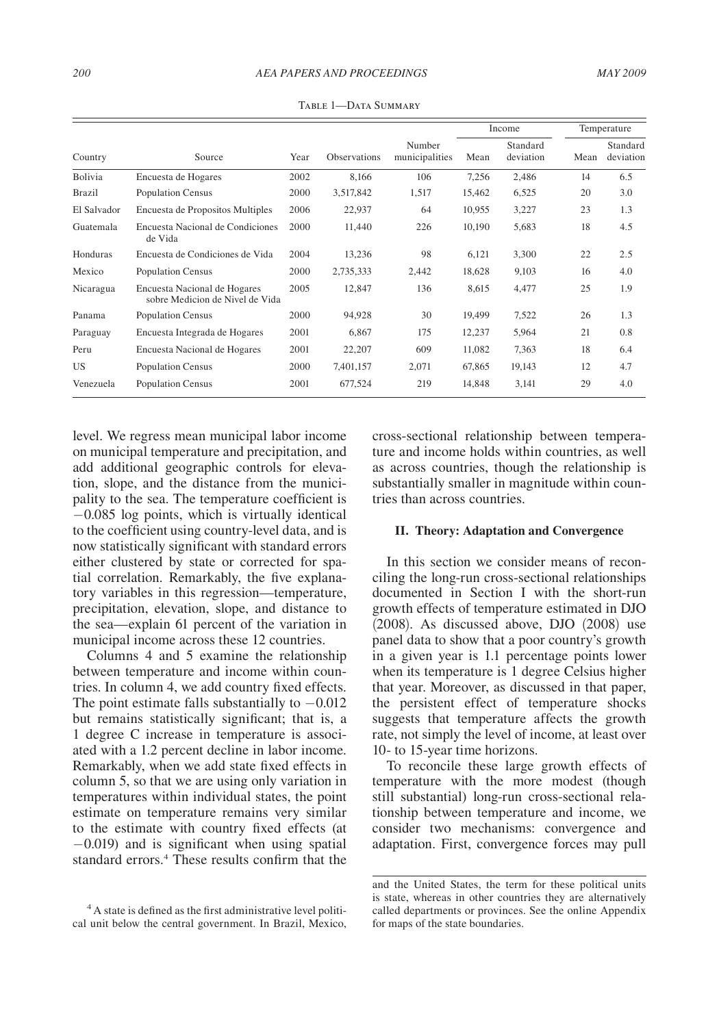#### *200 AEA PAPERS AND PROCEEDINGS MAY 2009*

|               |                                                                 |      |                     |                          | Income |                       | Temperature |                       |
|---------------|-----------------------------------------------------------------|------|---------------------|--------------------------|--------|-----------------------|-------------|-----------------------|
| Country       | Source                                                          | Year | <b>Observations</b> | Number<br>municipalities | Mean   | Standard<br>deviation | Mean        | Standard<br>deviation |
| Bolivia       | Encuesta de Hogares                                             | 2002 | 8,166               | 106                      | 7,256  | 2,486                 | 14          | 6.5                   |
| <b>Brazil</b> | Population Census                                               | 2000 | 3,517,842           | 1,517                    | 15,462 | 6,525                 | 20          | 3.0                   |
| El Salvador   | Encuesta de Propositos Multiples                                | 2006 | 22,937              | 64                       | 10,955 | 3,227                 | 23          | 1.3                   |
| Guatemala     | Encuesta Nacional de Condiciones<br>de Vida                     | 2000 | 11,440              | 226                      | 10,190 | 5,683                 | 18          | 4.5                   |
| Honduras      | Encuesta de Condiciones de Vida                                 | 2004 | 13,236              | 98                       | 6,121  | 3,300                 | 22          | 2.5                   |
| Mexico        | <b>Population Census</b>                                        | 2000 | 2,735,333           | 2,442                    | 18,628 | 9,103                 | 16          | 4.0                   |
| Nicaragua     | Encuesta Nacional de Hogares<br>sobre Medicion de Nivel de Vida | 2005 | 12,847              | 136                      | 8,615  | 4,477                 | 25          | 1.9                   |
| Panama        | <b>Population Census</b>                                        | 2000 | 94,928              | 30                       | 19,499 | 7,522                 | 26          | 1.3                   |
| Paraguay      | Encuesta Integrada de Hogares                                   | 2001 | 6,867               | 175                      | 12,237 | 5,964                 | 21          | 0.8                   |
| Peru          | Encuesta Nacional de Hogares                                    | 2001 | 22,207              | 609                      | 11,082 | 7,363                 | 18          | 6.4                   |
| US            | <b>Population Census</b>                                        | 2000 | 7,401,157           | 2,071                    | 67,865 | 19,143                | 12          | 4.7                   |
| Venezuela     | <b>Population Census</b>                                        | 2001 | 677,524             | 219                      | 14,848 | 3,141                 | 29          | 4.0                   |

Table 1—Data Summary

level. We regress mean municipal labor income on municipal temperature and precipitation, and add additional geographic controls for elevation, slope, and the distance from the municipality to the sea. The temperature coefficient is −0.085 log points, which is virtually identical to the coefficient using country-level data, and is now statistically significant with standard errors either clustered by state or corrected for spatial correlation. Remarkably, the five explanatory variables in this regression—temperature, precipitation, elevation, slope, and distance to the sea—explain 61 percent of the variation in municipal income across these 12 countries.

Columns 4 and 5 examine the relationship between temperature and income within countries. In column 4, we add country fixed effects. The point estimate falls substantially to  $-0.012$ but remains statistically significant; that is, a 1 degree C increase in temperature is associated with a 1.2 percent decline in labor income. Remarkably, when we add state fixed effects in column 5, so that we are using only variation in temperatures within individual states, the point estimate on temperature remains very similar to the estimate with country fixed effects (at −0.019) and is significant when using spatial standard errors.<sup>4</sup> These results confirm that the cross-sectional relationship between temperature and income holds within countries, as well as across countries, though the relationship is substantially smaller in magnitude within countries than across countries.

#### **II. Theory: Adaptation and Convergence**

In this section we consider means of reconciling the long-run cross-sectional relationships documented in Section I with the short-run growth effects of temperature estimated in DJO (2008). As discussed above, DJO (2008) use panel data to show that a poor country's growth in a given year is 1.1 percentage points lower when its temperature is 1 degree Celsius higher that year. Moreover, as discussed in that paper, the persistent effect of temperature shocks suggests that temperature affects the growth rate, not simply the level of income, at least over 10- to 15-year time horizons.

To reconcile these large growth effects of temperature with the more modest (though still substantial) long-run cross-sectional relationship between temperature and income, we consider two mechanisms: convergence and adaptation. First, convergence forces may pull

<sup>4</sup> A state is defined as the first administrative level political unit below the central government. In Brazil, Mexico,

and the United States, the term for these political units is state, whereas in other countries they are alternatively called departments or provinces. See the online Appendix for maps of the state boundaries.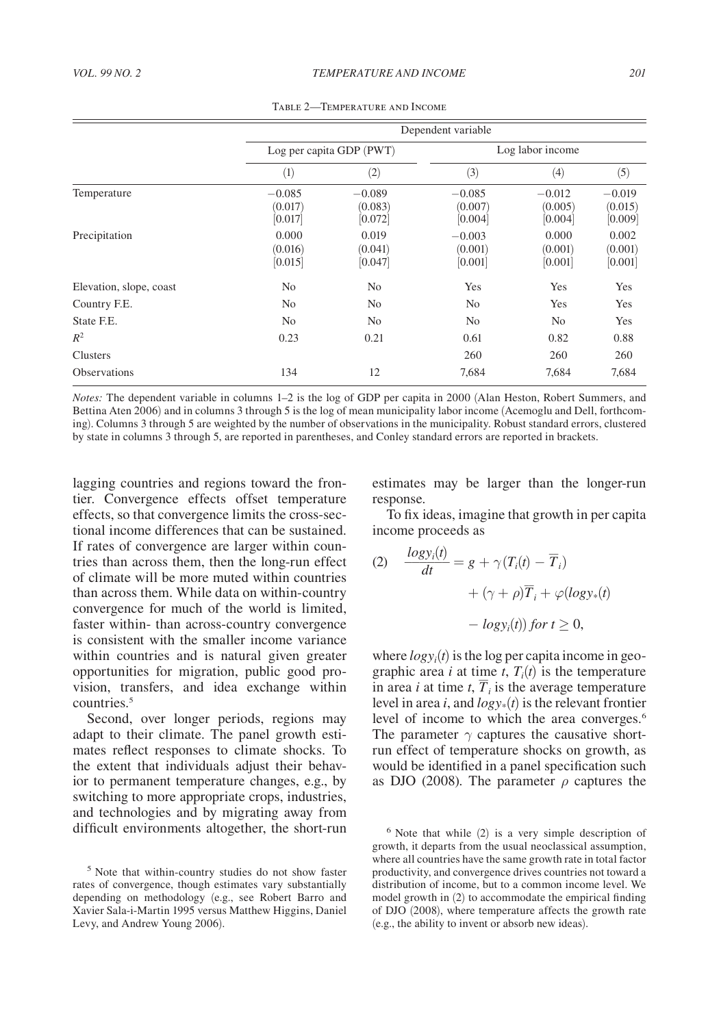|                         |                                | Dependent variable             |                                |                                |                                |  |  |  |  |  |
|-------------------------|--------------------------------|--------------------------------|--------------------------------|--------------------------------|--------------------------------|--|--|--|--|--|
|                         |                                | Log per capita GDP (PWT)       | Log labor income               |                                |                                |  |  |  |  |  |
|                         | $\left( 1\right)$              | (2)                            | (3)                            | (4)                            | (5)                            |  |  |  |  |  |
| Temperature             | $-0.085$<br>(0.017)<br>[0.017] | $-0.089$<br>(0.083)<br>[0.072] | $-0.085$<br>(0.007)<br>[0.004] | $-0.012$<br>(0.005)<br>[0.004] | $-0.019$<br>(0.015)<br>[0.009] |  |  |  |  |  |
| Precipitation           | 0.000<br>(0.016)<br>[0.015]    | 0.019<br>(0.041)<br>[0.047]    | $-0.003$<br>(0.001)<br>[0.001] | 0.000<br>(0.001)<br>[0.001]    | 0.002<br>(0.001)<br>[0.001]    |  |  |  |  |  |
| Elevation, slope, coast | No                             | N <sub>0</sub>                 | Yes                            | Yes                            | Yes                            |  |  |  |  |  |
| Country F.E.            | No.                            | No                             | No                             | Yes                            | Yes                            |  |  |  |  |  |
| State F.E.              | No.                            | N <sub>0</sub>                 | N <sub>0</sub>                 | N <sub>0</sub>                 | Yes                            |  |  |  |  |  |
| $R^2$                   | 0.23                           | 0.21                           | 0.61                           | 0.82                           | 0.88                           |  |  |  |  |  |
| Clusters                |                                |                                | 260                            | 260                            | 260                            |  |  |  |  |  |
| <b>Observations</b>     | 134                            | 12                             | 7,684                          | 7,684                          | 7,684                          |  |  |  |  |  |

Table 2—Temperature and Income

*Notes:* The dependent variable in columns 1–2 is the log of GDP per capita in 2000 (Alan Heston, Robert Summers, and Bettina Aten 2006) and in columns 3 through 5 is the log of mean municipality labor income (Acemoglu and Dell, forthcoming). Columns 3 through 5 are weighted by the number of observations in the municipality. Robust standard errors, clustered by state in columns 3 through 5, are reported in parentheses, and Conley standard errors are reported in brackets.

lagging countries and regions toward the frontier. Convergence effects offset temperature effects, so that convergence limits the cross-sectional income differences that can be sustained. If rates of convergence are larger within countries than across them, then the long-run effect of climate will be more muted within countries than across them. While data on within-country convergence for much of the world is limited, faster within- than across-country convergence is consistent with the smaller income variance within countries and is natural given greater opportunities for migration, public good provision, transfers, and idea exchange within countries.5

Second, over longer periods, regions may adapt to their climate. The panel growth estimates reflect responses to climate shocks. To the extent that individuals adjust their behavior to permanent temperature changes, e.g., by switching to more appropriate crops, industries, and technologies and by migrating away from difficult environments altogether, the short-run estimates may be larger than the longer-run response.

To fix ideas, imagine that growth in per capita income proceeds as

(2) 
$$
\frac{\log y_i(t)}{dt} = g + \gamma (T_i(t) - \overline{T}_i)
$$

$$
+ (\gamma + \rho) \overline{T}_i + \varphi(\log y_*(t))
$$

$$
- \log y_i(t)) \text{ for } t \ge 0,
$$

where  $logy_i(t)$  is the log per capita income in geographic area *i* at time *t*,  $T_i(t)$  is the temperature in area *i* at time *t*,  $\overline{T}_i$  is the average temperature level in area *i*, and  $logy_*(t)$  is the relevant frontier level of income to which the area converges.<sup>6</sup> The parameter  $\gamma$  captures the causative shortrun effect of temperature shocks on growth, as would be identified in a panel specification such as DJO (2008). The parameter  $\rho$  captures the

<sup>5</sup> Note that within-country studies do not show faster rates of convergence, though estimates vary substantially depending on methodology (e.g., see Robert Barro and Xavier Sala-i-Martin 1995 versus Matthew Higgins, Daniel Levy, and Andrew Young 2006).

<sup>6</sup> Note that while (2) is a very simple description of growth, it departs from the usual neoclassical assumption, where all countries have the same growth rate in total factor productivity, and convergence drives countries not toward a distribution of income, but to a common income level. We model growth in (2) to accommodate the empirical finding of DJO (2008), where temperature affects the growth rate (e.g., the ability to invent or absorb new ideas).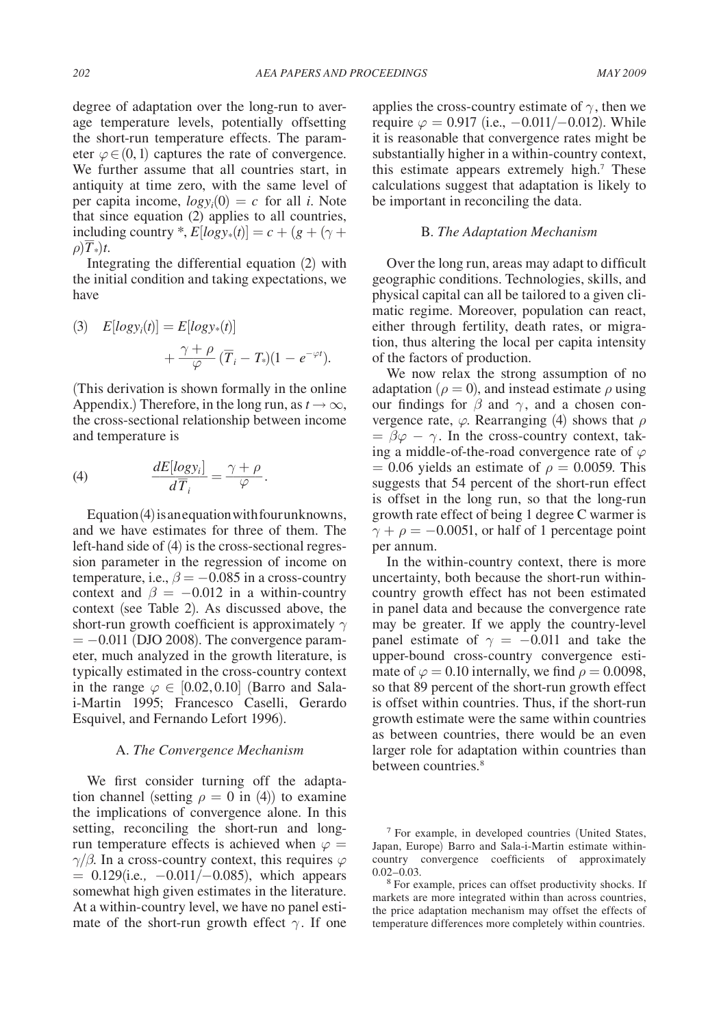degree of adaptation over the long-run to average temperature levels, potentially offsetting the short-run temperature effects. The parameter  $\varphi \in (0,1)$  captures the rate of convergence. We further assume that all countries start, in antiquity at time zero, with the same level of per capita income,  $logy_i(0) = c$  for all *i*. Note that since equation (2) applies to all countries, including country  $*$ ,  $E[logy*(t)] = c + (g + (\gamma +$  $\rho$ ) $\overline{T}$ <sup>\*</sup>)*t*.

Integrating the differential equation (2) with the initial condition and taking expectations, we have

(3) 
$$
E[logy_i(t)] = E[logy_*(t)] + \frac{\gamma + \rho}{\varphi} (\overline{T}_i - T_*)(1 - e^{-\varphi t}).
$$

(This derivation is shown formally in the online Appendix.) Therefore, in the long run, as  $t \to \infty$ , the cross-sectional relationship between income and temperature is

(4) 
$$
\frac{dE[logy_i]}{d\overline{T}_i} = \frac{\gamma + \rho}{\varphi}.
$$

Equation (4) is an equation with four unknowns, and we have estimates for three of them. The left-hand side of (4) is the cross-sectional regression parameter in the regression of income on temperature, i.e.,  $\beta = -0.085$  in a cross-country context and  $\beta = -0.012$  in a within-country context (see Table 2). As discussed above, the short-run growth coefficient is approximately  $\gamma$  $= -0.011$  (DJO 2008). The convergence parameter, much analyzed in the growth literature, is typically estimated in the cross-country context in the range  $\varphi \in [0.02, 0.10]$  (Barro and Salai-Martin 1995; Francesco Caselli, Gerardo Esquivel, and Fernando Lefort 1996).

#### A. *The Convergence Mechanism*

We first consider turning off the adaptation channel (setting  $\rho = 0$  in (4)) to examine the implications of convergence alone. In this setting, reconciling the short-run and longrun temperature effects is achieved when  $\varphi =$  $\gamma/\beta$ . In a cross-country context, this requires  $\varphi$ = 0.129(i.e*.,* −0.011/−0.085), which appears somewhat high given estimates in the literature. At a within-country level, we have no panel estimate of the short-run growth effect  $\gamma$ . If one applies the cross-country estimate of  $\gamma$ , then we require  $\varphi = 0.917$  (i.e.,  $-0.011/-0.012$ ). While it is reasonable that convergence rates might be substantially higher in a within-country context, this estimate appears extremely high.<sup>7</sup> These calculations suggest that adaptation is likely to be important in reconciling the data.

#### B. *The Adaptation Mechanism*

Over the long run, areas may adapt to difficult geographic conditions. Technologies, skills, and physical capital can all be tailored to a given climatic regime. Moreover, population can react, either through fertility, death rates, or migration, thus altering the local per capita intensity of the factors of production.

We now relax the strong assumption of no adaptation ( $\rho = 0$ ), and instead estimate  $\rho$  using our findings for  $\beta$  and  $\gamma$ , and a chosen convergence rate,  $\varphi$ . Rearranging (4) shows that  $\rho$  $= \beta \varphi - \gamma$ . In the cross-country context, taking a middle-of-the-road convergence rate of  $\varphi$  $= 0.06$  yields an estimate of  $\rho = 0.0059$ . This suggests that 54 percent of the short-run effect is offset in the long run, so that the long-run growth rate effect of being 1 degree C warmer is  $\gamma + \rho = -0.0051$ , or half of 1 percentage point per annum.

In the within-country context, there is more uncertainty, both because the short-run withincountry growth effect has not been estimated in panel data and because the convergence rate may be greater. If we apply the country-level panel estimate of  $\gamma = -0.011$  and take the upper-bound cross-country convergence estimate of  $\varphi = 0.10$  internally, we find  $\rho = 0.0098$ , so that 89 percent of the short-run growth effect is offset within countries. Thus, if the short-run growth estimate were the same within countries as between countries, there would be an even larger role for adaptation within countries than between countries.<sup>8</sup>

<sup>7</sup> For example, in developed countries (United States, Japan, Europe) Barro and Sala-i-Martin estimate withincountry convergence coefficients of approximately 0.02–0.03.<br><sup>8</sup> For example, prices can offset productivity shocks. If

markets are more integrated within than across countries, the price adaptation mechanism may offset the effects of temperature differences more completely within countries.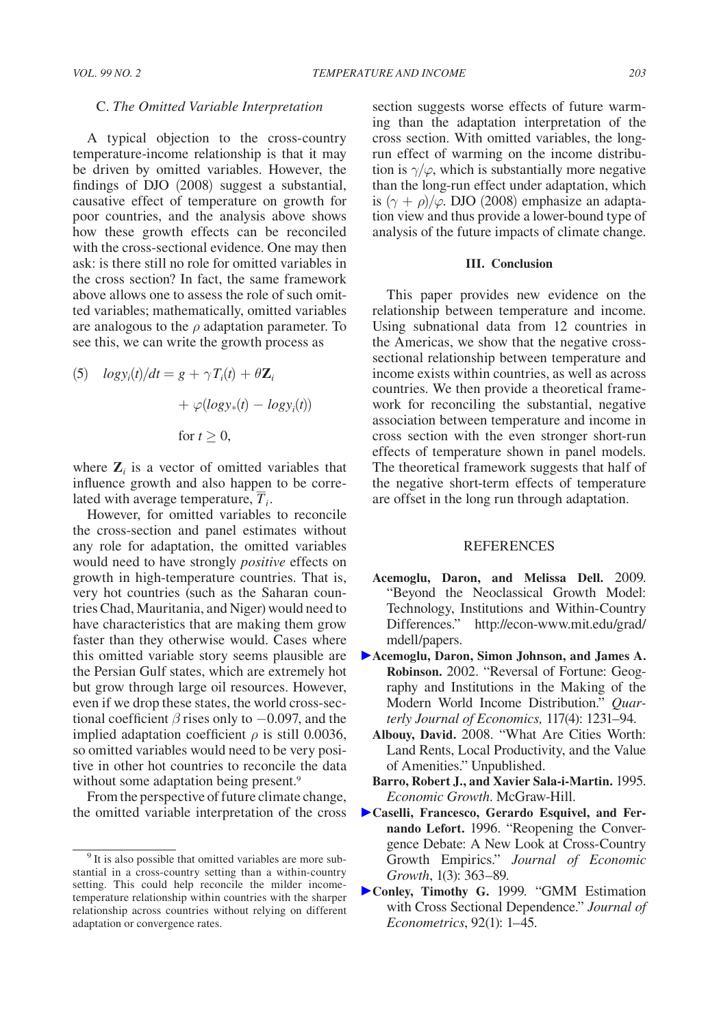#### C. *The Omitted Variable Interpretation*

A typical objection to the cross-country temperature-income relationship is that it may be driven by omitted variables. However, the findings of DJO (2008) suggest a substantial, causative effect of temperature on growth for poor countries, and the analysis above shows how these growth effects can be reconciled with the cross-sectional evidence. One may then ask: is there still no role for omitted variables in the cross section? In fact, the same framework above allows one to assess the role of such omitted variables; mathematically, omitted variables are analogous to the  $\rho$  adaptation parameter. To see this, we can write the growth process as

(5) 
$$
logy_i(t)/dt = g + \gamma T_i(t) + \theta \mathbf{Z}_i
$$
  
  $+ \varphi(logy_*(t) - logy_i(t))$   
for  $t \ge 0$ ,

where  $\mathbf{Z}_i$  is a vector of omitted variables that influence growth and also happen to be correlated with average temperature,  $\overline{T}_i$ .

However, for omitted variables to reconcile the cross-section and panel estimates without any role for adaptation, the omitted variables would need to have strongly *positive* effects on growth in high-temperature countries. That is, very hot countries (such as the Saharan countries Chad, Mauritania, and Niger) would need to have characteristics that are making them grow faster than they otherwise would. Cases where this omitted variable story seems plausible are the Persian Gulf states, which are extremely hot but grow through large oil resources. However, even if we drop these states, the world cross-sectional coefficient  $\beta$  rises only to  $-0.097$ , and the implied adaptation coefficient  $\rho$  is still 0.0036, so omitted variables would need to be very positive in other hot countries to reconcile the data without some adaptation being present.<sup>9</sup>

From the perspective of future climate change, the omitted variable interpretation of the cross section suggests worse effects of future warming than the adaptation interpretation of the cross section. With omitted variables, the longrun effect of warming on the income distribution is  $\gamma/\varphi$ , which is substantially more negative than the long-run effect under adaptation, which is  $(\gamma + \rho)/\varphi$ . DJO (2008) emphasize an adaptation view and thus provide a lower-bound type of analysis of the future impacts of climate change.

#### **III. Conclusion**

This paper provides new evidence on the relationship between temperature and income. Using subnational data from 12 countries in the Americas, we show that the negative crosssectional relationship between temperature and income exists within countries, as well as across countries. We then provide a theoretical framework for reconciling the substantial, negative association between temperature and income in cross section with the even stronger short-run effects of temperature shown in panel models. The theoretical framework suggests that half of the negative short-term effects of temperature are offset in the long run through adaptation.

#### **REFERENCES**

- **Acemoglu, Daron, and Melissa Dell.** 2009. "Beyond the Neoclassical Growth Model: Technology, Institutions and Within-Country Differences." http://econ-www.mit.edu/grad/ mdell/papers.
- **Acemoglu, Daron, Simon Johnson, and James A. Robinson.** 2002. "Reversal of Fortune: Geography and Institutions in the Making of the Modern World Income Distribution." *Quarterly Journal of Economics,* 117(4): 1231–94.
	- **Albouy, David.** 2008. "What Are Cities Worth: Land Rents, Local Productivity, and the Value of Amenities." Unpublished.
	- **Barro, Robert J., and Xavier Sala-i-Martin.** 1995. *Economic Growth*. McGraw-Hill.
- **Caselli, Francesco, Gerardo Esquivel, and Fernando Lefort.** 1996. "Reopening the Convergence Debate: A New Look at Cross-Country Growth Empirics." *Journal of Economic Growth*, 1(3): 363–89.
- **Conley, Timothy G.** 1999. "GMM Estimation with Cross Sectional Dependence." *Journal of Econometrics*, 92(1): 1–45.

<sup>&</sup>lt;sup>9</sup> It is also possible that omitted variables are more substantial in a cross-country setting than a within-country setting. This could help reconcile the milder incometemperature relationship within countries with the sharper relationship across countries without relying on different adaptation or convergence rates.